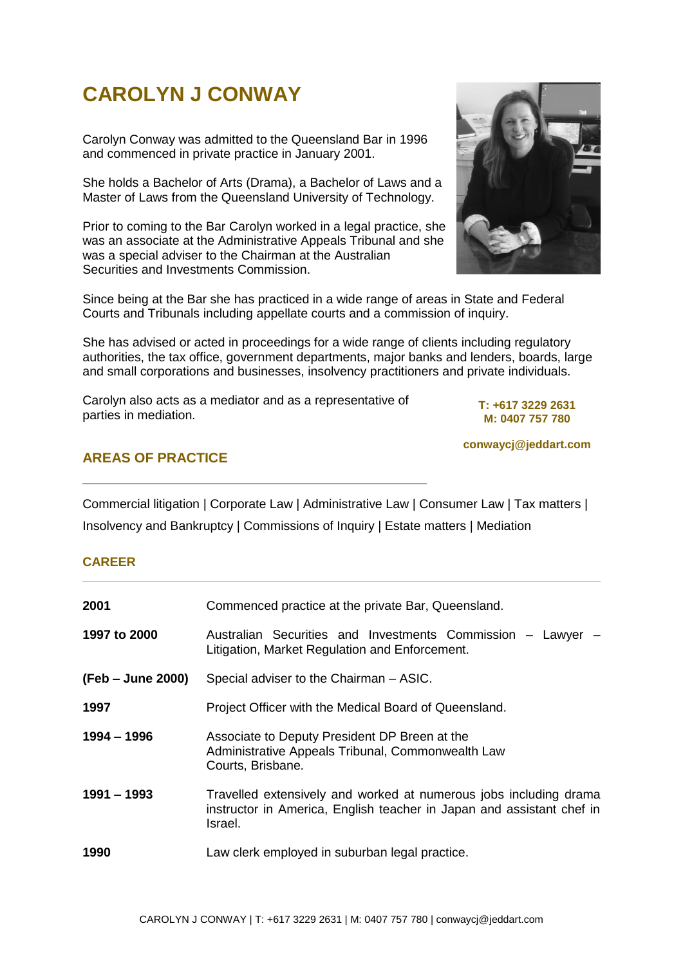# **CAROLYN J CONWAY**

Carolyn Conway was admitted to the Queensland Bar in 1996 and commenced in private practice in January 2001.

She holds a Bachelor of Arts (Drama), a Bachelor of Laws and a Master of Laws from the Queensland University of Technology.

Prior to coming to the Bar Carolyn worked in a legal practice, she was an associate at the Administrative Appeals Tribunal and she was a special adviser to the Chairman at the Australian Securities and Investments Commission.



Since being at the Bar she has practiced in a wide range of areas in State and Federal Courts and Tribunals including appellate courts and a commission of inquiry.

She has advised or acted in proceedings for a wide range of clients including regulatory authorities, the tax office, government departments, major banks and lenders, boards, large and small corporations and businesses, insolvency practitioners and private individuals.

Carolyn also acts as a mediator and as a representative of parties in mediation.

**T: +617 3229 2631 M: 0407 757 780** 

**conwaycj@jeddart.com**

# **AREAS OF PRACTICE**

Commercial litigation | Corporate Law | Administrative Law | Consumer Law | Tax matters | Insolvency and Bankruptcy | Commissions of Inquiry | Estate matters | Mediation

#### **CAREER**

| 2001              | Commenced practice at the private Bar, Queensland.                                                                                                    |
|-------------------|-------------------------------------------------------------------------------------------------------------------------------------------------------|
| 1997 to 2000      | Australian Securities and Investments Commission - Lawyer -<br>Litigation, Market Regulation and Enforcement.                                         |
| (Feb – June 2000) | Special adviser to the Chairman - ASIC.                                                                                                               |
| 1997              | Project Officer with the Medical Board of Queensland.                                                                                                 |
| 1994 - 1996       | Associate to Deputy President DP Breen at the<br>Administrative Appeals Tribunal, Commonwealth Law<br>Courts, Brisbane.                               |
| $1991 - 1993$     | Travelled extensively and worked at numerous jobs including drama<br>instructor in America, English teacher in Japan and assistant chef in<br>Israel. |
| 1990              | Law clerk employed in suburban legal practice.                                                                                                        |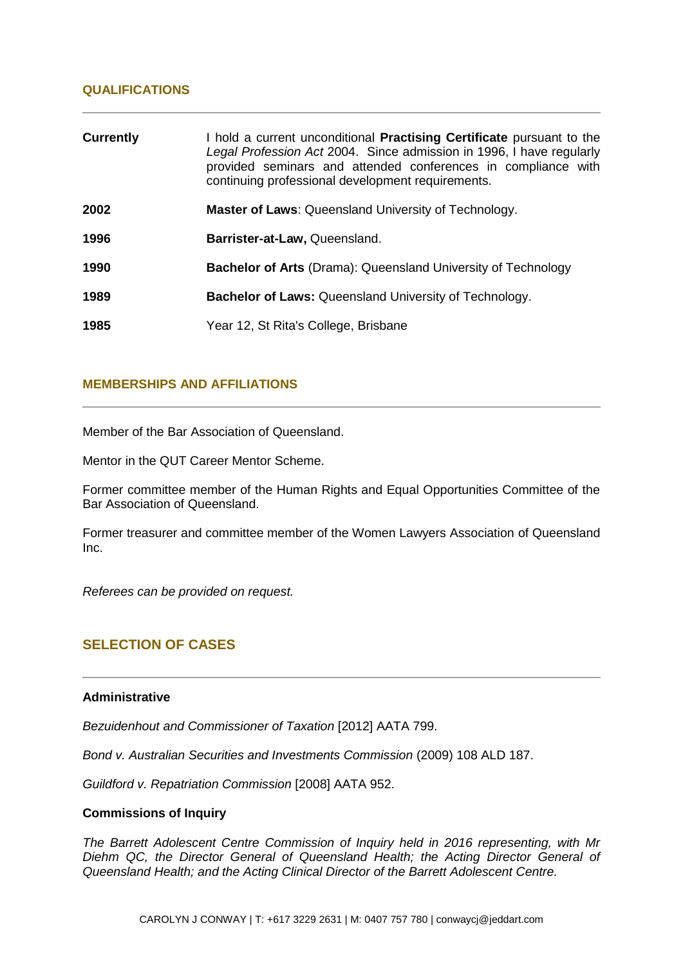## **QUALIFICATIONS**

| <b>Currently</b> | I hold a current unconditional <b>Practising Certificate</b> pursuant to the<br>Legal Profession Act 2004. Since admission in 1996, I have regularly<br>provided seminars and attended conferences in compliance with<br>continuing professional development requirements. |
|------------------|----------------------------------------------------------------------------------------------------------------------------------------------------------------------------------------------------------------------------------------------------------------------------|
| 2002             | <b>Master of Laws: Queensland University of Technology.</b>                                                                                                                                                                                                                |
| 1996             | Barrister-at-Law, Queensland.                                                                                                                                                                                                                                              |
| 1990             | Bachelor of Arts (Drama): Queensland University of Technology                                                                                                                                                                                                              |
| 1989             | <b>Bachelor of Laws: Queensland University of Technology.</b>                                                                                                                                                                                                              |
| 1985             | Year 12, St Rita's College, Brisbane                                                                                                                                                                                                                                       |

## **MEMBERSHIPS AND AFFILIATIONS**

Member of the Bar Association of Queensland.

Mentor in the QUT Career Mentor Scheme.

Former committee member of the Human Rights and Equal Opportunities Committee of the Bar Association of Queensland.

Former treasurer and committee member of the Women Lawyers Association of Queensland Inc.

*Referees can be provided on request.*

# **SELECTION OF CASES**

#### **Administrative**

*Bezuidenhout and Commissioner of Taxation* [2012] AATA 799.

*Bond v. Australian Securities and Investments Commission* (2009) 108 ALD 187.

*Guildford v. Repatriation Commission* [2008] AATA 952.

#### **Commissions of Inquiry**

*The Barrett Adolescent Centre Commission of Inquiry held in 2016 representing, with Mr Diehm QC, the Director General of Queensland Health; the Acting Director General of Queensland Health; and the Acting Clinical Director of the Barrett Adolescent Centre.*